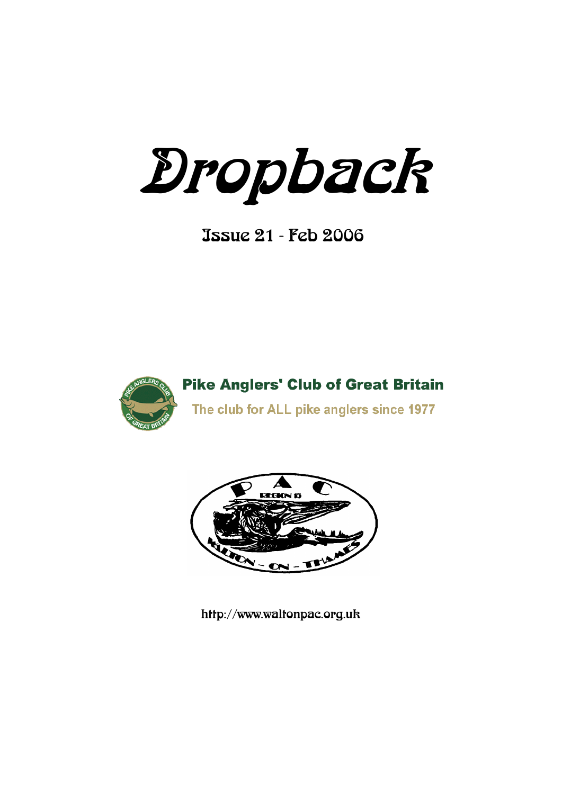Dropback

Issue 21 - Feb 2006



**Pike Anglers' Club of Great Britain** The club for ALL pike anglers since 1977



http://www.waltonpac.org.uk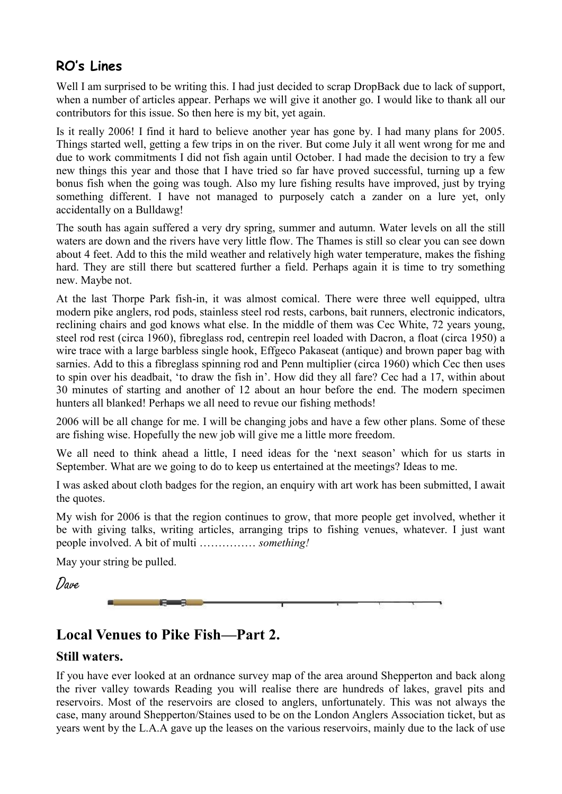## **RO's Lines**

Well I am surprised to be writing this. I had just decided to scrap DropBack due to lack of support, when a number of articles appear. Perhaps we will give it another go. I would like to thank all our contributors for this issue. So then here is my bit, yet again.

Is it really 2006! I find it hard to believe another year has gone by. I had many plans for 2005. Things started well, getting a few trips in on the river. But come July it all went wrong for me and due to work commitments I did not fish again until October. I had made the decision to try a few new things this year and those that I have tried so far have proved successful, turning up a few bonus fish when the going was tough. Also my lure fishing results have improved, just by trying something different. I have not managed to purposely catch a zander on a lure yet, only accidentally on a Bulldawg!

The south has again suffered a very dry spring, summer and autumn. Water levels on all the still waters are down and the rivers have very little flow. The Thames is still so clear you can see down about 4 feet. Add to this the mild weather and relatively high water temperature, makes the fishing hard. They are still there but scattered further a field. Perhaps again it is time to try something new. Maybe not.

At the last Thorpe Park fish-in, it was almost comical. There were three well equipped, ultra modern pike anglers, rod pods, stainless steel rod rests, carbons, bait runners, electronic indicators, reclining chairs and god knows what else. In the middle of them was Cec White, 72 years young, steel rod rest (circa 1960), fibreglass rod, centrepin reel loaded with Dacron, a float (circa 1950) a wire trace with a large barbless single hook, Effgeco Pakaseat (antique) and brown paper bag with sarnies. Add to this a fibreglass spinning rod and Penn multiplier (circa 1960) which Cec then uses to spin over his deadbait, "to draw the fish in". How did they all fare? Cec had a 17, within about 30 minutes of starting and another of 12 about an hour before the end. The modern specimen hunters all blanked! Perhaps we all need to revue our fishing methods!

2006 will be all change for me. I will be changing jobs and have a few other plans. Some of these are fishing wise. Hopefully the new job will give me a little more freedom.

We all need to think ahead a little, I need ideas for the 'next season' which for us starts in September. What are we going to do to keep us entertained at the meetings? Ideas to me.

I was asked about cloth badges for the region, an enquiry with art work has been submitted, I await the quotes.

My wish for 2006 is that the region continues to grow, that more people get involved, whether it be with giving talks, writing articles, arranging trips to fishing venues, whatever. I just want people involved. A bit of multi …………… *something!*

May your string be pulled.

Dave



# **Local Venues to Pike Fish—Part 2.**

### **Still waters.**

If you have ever looked at an ordnance survey map of the area around Shepperton and back along the river valley towards Reading you will realise there are hundreds of lakes, gravel pits and reservoirs. Most of the reservoirs are closed to anglers, unfortunately. This was not always the case, many around Shepperton/Staines used to be on the London Anglers Association ticket, but as years went by the L.A.A gave up the leases on the various reservoirs, mainly due to the lack of use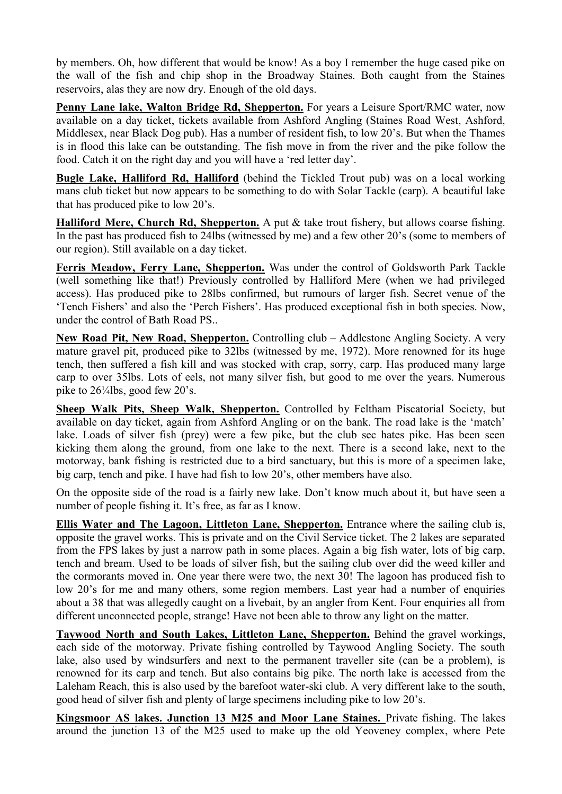by members. Oh, how different that would be know! As a boy I remember the huge cased pike on the wall of the fish and chip shop in the Broadway Staines. Both caught from the Staines reservoirs, alas they are now dry. Enough of the old days.

**Penny Lane lake, Walton Bridge Rd, Shepperton.** For years a Leisure Sport/RMC water, now available on a day ticket, tickets available from Ashford Angling (Staines Road West, Ashford, Middlesex, near Black Dog pub). Has a number of resident fish, to low 20"s. But when the Thames is in flood this lake can be outstanding. The fish move in from the river and the pike follow the food. Catch it on the right day and you will have a "red letter day".

**Bugle Lake, Halliford Rd, Halliford** (behind the Tickled Trout pub) was on a local working mans club ticket but now appears to be something to do with Solar Tackle (carp). A beautiful lake that has produced pike to low 20"s.

**Halliford Mere, Church Rd, Shepperton.** A put & take trout fishery, but allows coarse fishing. In the past has produced fish to 24lbs (witnessed by me) and a few other 20"s (some to members of our region). Still available on a day ticket.

**Ferris Meadow, Ferry Lane, Shepperton.** Was under the control of Goldsworth Park Tackle (well something like that!) Previously controlled by Halliford Mere (when we had privileged access). Has produced pike to 28lbs confirmed, but rumours of larger fish. Secret venue of the "Tench Fishers" and also the "Perch Fishers". Has produced exceptional fish in both species. Now, under the control of Bath Road PS..

**New Road Pit, New Road, Shepperton.** Controlling club – Addlestone Angling Society. A very mature gravel pit, produced pike to 32lbs (witnessed by me, 1972). More renowned for its huge tench, then suffered a fish kill and was stocked with crap, sorry, carp. Has produced many large carp to over 35lbs. Lots of eels, not many silver fish, but good to me over the years. Numerous pike to 26¼lbs, good few 20's.

**Sheep Walk Pits, Sheep Walk, Shepperton.** Controlled by Feltham Piscatorial Society, but available on day ticket, again from Ashford Angling or on the bank. The road lake is the "match" lake. Loads of silver fish (prey) were a few pike, but the club sec hates pike. Has been seen kicking them along the ground, from one lake to the next. There is a second lake, next to the motorway, bank fishing is restricted due to a bird sanctuary, but this is more of a specimen lake, big carp, tench and pike. I have had fish to low 20"s, other members have also.

On the opposite side of the road is a fairly new lake. Don"t know much about it, but have seen a number of people fishing it. It's free, as far as I know.

**Ellis Water and The Lagoon, Littleton Lane, Shepperton.** Entrance where the sailing club is, opposite the gravel works. This is private and on the Civil Service ticket. The 2 lakes are separated from the FPS lakes by just a narrow path in some places. Again a big fish water, lots of big carp, tench and bream. Used to be loads of silver fish, but the sailing club over did the weed killer and the cormorants moved in. One year there were two, the next 30! The lagoon has produced fish to low 20"s for me and many others, some region members. Last year had a number of enquiries about a 38 that was allegedly caught on a livebait, by an angler from Kent. Four enquiries all from different unconnected people, strange! Have not been able to throw any light on the matter.

**Taywood North and South Lakes, Littleton Lane, Shepperton.** Behind the gravel workings, each side of the motorway. Private fishing controlled by Taywood Angling Society. The south lake, also used by windsurfers and next to the permanent traveller site (can be a problem), is renowned for its carp and tench. But also contains big pike. The north lake is accessed from the Laleham Reach, this is also used by the barefoot water-ski club. A very different lake to the south, good head of silver fish and plenty of large specimens including pike to low 20"s.

**Kingsmoor AS lakes. Junction 13 M25 and Moor Lane Staines.** Private fishing. The lakes around the junction 13 of the M25 used to make up the old Yeoveney complex, where Pete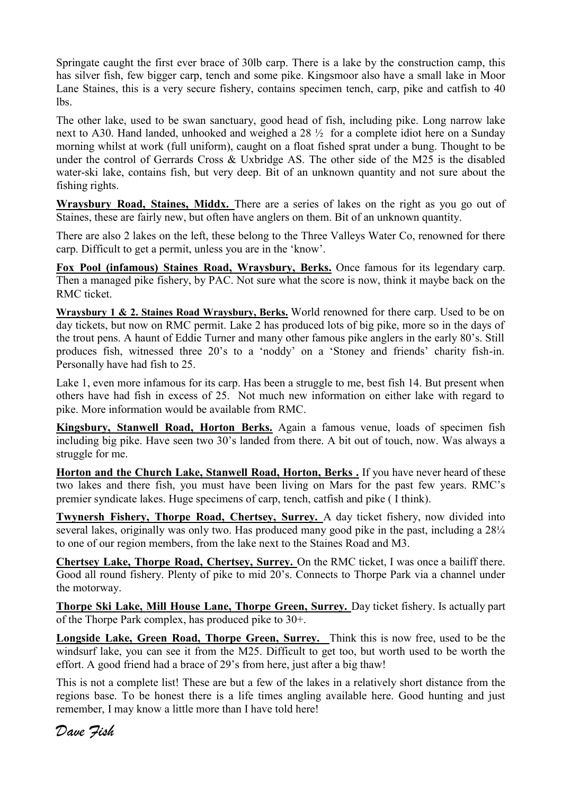Springate caught the first ever brace of 30lb carp. There is a lake by the construction camp, this has silver fish, few bigger carp, tench and some pike. Kingsmoor also have a small lake in Moor Lane Staines, this is a very secure fishery, contains specimen tench, carp, pike and catfish to 40 lbs.

The other lake, used to be swan sanctuary, good head of fish, including pike. Long narrow lake next to A30. Hand landed, unhooked and weighed a 28 ½ for a complete idiot here on a Sunday morning whilst at work (full uniform), caught on a float fished sprat under a bung. Thought to be under the control of Gerrards Cross & Uxbridge AS. The other side of the M25 is the disabled water-ski lake, contains fish, but very deep. Bit of an unknown quantity and not sure about the fishing rights.

**Wraysbury Road, Staines, Middx.** There are a series of lakes on the right as you go out of Staines, these are fairly new, but often have anglers on them. Bit of an unknown quantity.

There are also 2 lakes on the left, these belong to the Three Valleys Water Co, renowned for there carp. Difficult to get a permit, unless you are in the "know".

**Fox Pool (infamous) Staines Road, Wraysbury, Berks.** Once famous for its legendary carp. Then a managed pike fishery, by PAC. Not sure what the score is now, think it maybe back on the RMC ticket.

**Wraysbury 1 & 2. Staines Road Wraysbury, Berks.** World renowned for there carp. Used to be on day tickets, but now on RMC permit. Lake 2 has produced lots of big pike, more so in the days of the trout pens. A haunt of Eddie Turner and many other famous pike anglers in the early 80"s. Still produces fish, witnessed three 20's to a 'noddy' on a 'Stoney and friends' charity fish-in. Personally have had fish to 25.

Lake 1, even more infamous for its carp. Has been a struggle to me, best fish 14. But present when others have had fish in excess of 25. Not much new information on either lake with regard to pike. More information would be available from RMC.

**Kingsbury, Stanwell Road, Horton Berks.** Again a famous venue, loads of specimen fish including big pike. Have seen two 30"s landed from there. A bit out of touch, now. Was always a struggle for me.

**Horton and the Church Lake, Stanwell Road, Horton, Berks .** If you have never heard of these two lakes and there fish, you must have been living on Mars for the past few years. RMC"s premier syndicate lakes. Huge specimens of carp, tench, catfish and pike ( I think).

**Twynersh Fishery, Thorpe Road, Chertsey, Surrey.** A day ticket fishery, now divided into several lakes, originally was only two. Has produced many good pike in the past, including a  $28\frac{1}{4}$ to one of our region members, from the lake next to the Staines Road and M3.

**Chertsey Lake, Thorpe Road, Chertsey, Surrey.** On the RMC ticket, I was once a bailiff there. Good all round fishery. Plenty of pike to mid 20"s. Connects to Thorpe Park via a channel under the motorway.

**Thorpe Ski Lake, Mill House Lane, Thorpe Green, Surrey.** Day ticket fishery. Is actually part of the Thorpe Park complex, has produced pike to 30+.

**Longside Lake, Green Road, Thorpe Green, Surrey.** Think this is now free, used to be the windsurf lake, you can see it from the M25. Difficult to get too, but worth used to be worth the effort. A good friend had a brace of 29"s from here, just after a big thaw!

This is not a complete list! These are but a few of the lakes in a relatively short distance from the regions base. To be honest there is a life times angling available here. Good hunting and just remember, I may know a little more than I have told here!

*Dave Fish*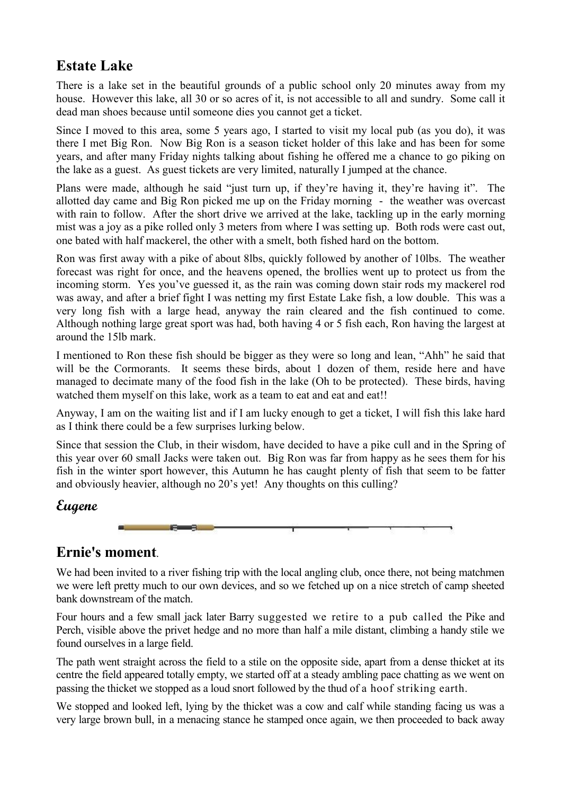# **Estate Lake**

There is a lake set in the beautiful grounds of a public school only 20 minutes away from my house. However this lake, all 30 or so acres of it, is not accessible to all and sundry. Some call it dead man shoes because until someone dies you cannot get a ticket.

Since I moved to this area, some 5 years ago, I started to visit my local pub (as you do), it was there I met Big Ron. Now Big Ron is a season ticket holder of this lake and has been for some years, and after many Friday nights talking about fishing he offered me a chance to go piking on the lake as a guest. As guest tickets are very limited, naturally I jumped at the chance.

Plans were made, although he said "just turn up, if they"re having it, they"re having it". The allotted day came and Big Ron picked me up on the Friday morning - the weather was overcast with rain to follow. After the short drive we arrived at the lake, tackling up in the early morning mist was a joy as a pike rolled only 3 meters from where I was setting up. Both rods were cast out, one bated with half mackerel, the other with a smelt, both fished hard on the bottom.

Ron was first away with a pike of about 8lbs, quickly followed by another of 10lbs. The weather forecast was right for once, and the heavens opened, the brollies went up to protect us from the incoming storm. Yes you've guessed it, as the rain was coming down stair rods my mackerel rod was away, and after a brief fight I was netting my first Estate Lake fish, a low double. This was a very long fish with a large head, anyway the rain cleared and the fish continued to come. Although nothing large great sport was had, both having 4 or 5 fish each, Ron having the largest at around the 15lb mark.

I mentioned to Ron these fish should be bigger as they were so long and lean, "Ahh" he said that will be the Cormorants. It seems these birds, about 1 dozen of them, reside here and have managed to decimate many of the food fish in the lake (Oh to be protected). These birds, having watched them myself on this lake, work as a team to eat and eat and eat!!

Anyway, I am on the waiting list and if I am lucky enough to get a ticket, I will fish this lake hard as I think there could be a few surprises lurking below.

Since that session the Club, in their wisdom, have decided to have a pike cull and in the Spring of this year over 60 small Jacks were taken out. Big Ron was far from happy as he sees them for his fish in the winter sport however, this Autumn he has caught plenty of fish that seem to be fatter and obviously heavier, although no 20's yet! Any thoughts on this culling?

## **Eugene**



## **Ernie's moment**.

We had been invited to a river fishing trip with the local angling club, once there, not being matchmen we were left pretty much to our own devices, and so we fetched up on a nice stretch of camp sheeted bank downstream of the match.

Four hours and a few small jack later Barry suggested we retire to a pub called the Pike and Perch, visible above the privet hedge and no more than half a mile distant, climbing a handy stile we found ourselves in a large field.

The path went straight across the field to a stile on the opposite side, apart from a dense thicket at its centre the field appeared totally empty, we started off at a steady ambling pace chatting as we went on passing the thicket we stopped as a loud snort followed by the thud of a hoof striking earth.

We stopped and looked left, lying by the thicket was a cow and calf while standing facing us was a very large brown bull, in a menacing stance he stamped once again, we then proceeded to back away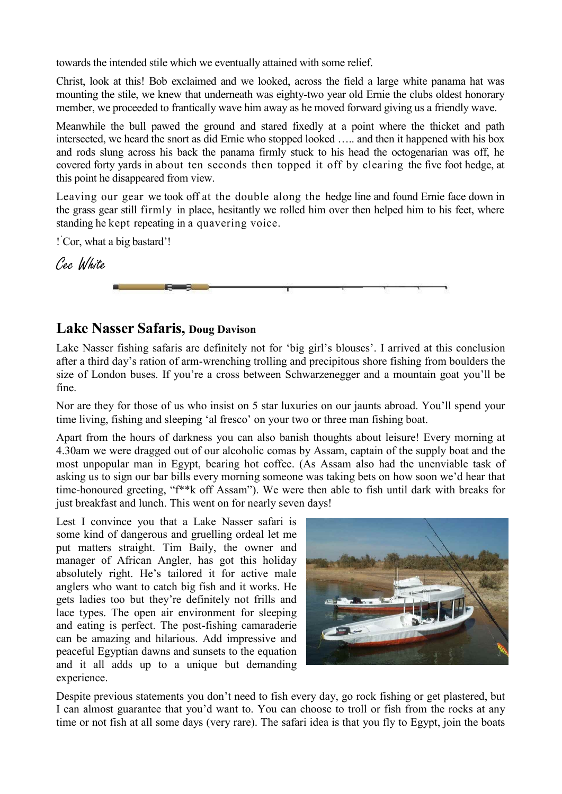towards the intended stile which we eventually attained with some relief.

Christ, look at this! Bob exclaimed and we looked, across the field a large white panama hat was mounting the stile, we knew that underneath was eighty-two year old Ernie the clubs oldest honorary member, we proceeded to frantically wave him away as he moved forward giving us a friendly wave.

Meanwhile the bull pawed the ground and stared fixedly at a point where the thicket and path intersected, we heard the snort as did Ernie who stopped looked ….. and then it happened with his box and rods slung across his back the panama firmly stuck to his head the octogenarian was off, he covered forty yards in about ten seconds then topped it off by clearing the five foot hedge, at this point he disappeared from view.

Leaving our gear we took off at the double along the hedge line and found Ernie face down in the grass gear still firmly in place, hesitantly we rolled him over then helped him to his feet, where standing he kept repeating in a quavering voice.

! "Cor, what a big bastard"!

Cec White



## **Lake Nasser Safaris, Doug Davison**

Lake Nasser fishing safaris are definitely not for 'big girl's blouses'. I arrived at this conclusion after a third day"s ration of arm-wrenching trolling and precipitous shore fishing from boulders the size of London buses. If you"re a cross between Schwarzenegger and a mountain goat you"ll be fine.

Nor are they for those of us who insist on 5 star luxuries on our jaunts abroad. You"ll spend your time living, fishing and sleeping "al fresco" on your two or three man fishing boat.

Apart from the hours of darkness you can also banish thoughts about leisure! Every morning at 4.30am we were dragged out of our alcoholic comas by Assam, captain of the supply boat and the most unpopular man in Egypt, bearing hot coffee. (As Assam also had the unenviable task of asking us to sign our bar bills every morning someone was taking bets on how soon we"d hear that time-honoured greeting, "f\*\*k off Assam"). We were then able to fish until dark with breaks for just breakfast and lunch. This went on for nearly seven days!

Lest I convince you that a Lake Nasser safari is some kind of dangerous and gruelling ordeal let me put matters straight. Tim Baily, the owner and manager of African Angler, has got this holiday absolutely right. He's tailored it for active male anglers who want to catch big fish and it works. He gets ladies too but they"re definitely not frills and lace types. The open air environment for sleeping and eating is perfect. The post-fishing camaraderie can be amazing and hilarious. Add impressive and peaceful Egyptian dawns and sunsets to the equation and it all adds up to a unique but demanding experience.



Despite previous statements you don't need to fish every day, go rock fishing or get plastered, but I can almost guarantee that you"d want to. You can choose to troll or fish from the rocks at any time or not fish at all some days (very rare). The safari idea is that you fly to Egypt, join the boats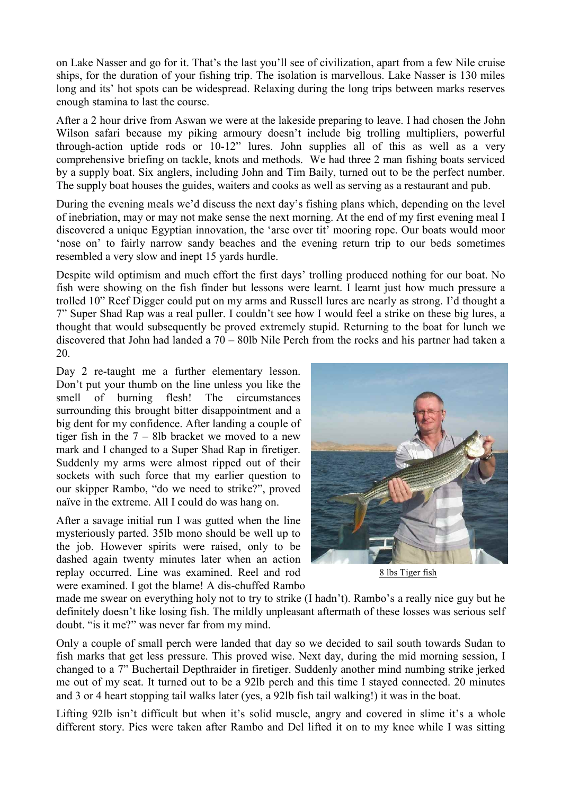on Lake Nasser and go for it. That"s the last you"ll see of civilization, apart from a few Nile cruise ships, for the duration of your fishing trip. The isolation is marvellous. Lake Nasser is 130 miles long and its' hot spots can be widespread. Relaxing during the long trips between marks reserves enough stamina to last the course.

After a 2 hour drive from Aswan we were at the lakeside preparing to leave. I had chosen the John Wilson safari because my piking armoury doesn't include big trolling multipliers, powerful through-action uptide rods or 10-12" lures. John supplies all of this as well as a very comprehensive briefing on tackle, knots and methods. We had three 2 man fishing boats serviced by a supply boat. Six anglers, including John and Tim Baily, turned out to be the perfect number. The supply boat houses the guides, waiters and cooks as well as serving as a restaurant and pub.

During the evening meals we"d discuss the next day"s fishing plans which, depending on the level of inebriation, may or may not make sense the next morning. At the end of my first evening meal I discovered a unique Egyptian innovation, the "arse over tit" mooring rope. Our boats would moor "nose on" to fairly narrow sandy beaches and the evening return trip to our beds sometimes resembled a very slow and inept 15 yards hurdle.

Despite wild optimism and much effort the first days' trolling produced nothing for our boat. No fish were showing on the fish finder but lessons were learnt. I learnt just how much pressure a trolled 10" Reef Digger could put on my arms and Russell lures are nearly as strong. I"d thought a 7" Super Shad Rap was a real puller. I couldn"t see how I would feel a strike on these big lures, a thought that would subsequently be proved extremely stupid. Returning to the boat for lunch we discovered that John had landed a 70 – 80lb Nile Perch from the rocks and his partner had taken a 20.

Day 2 re-taught me a further elementary lesson. Don"t put your thumb on the line unless you like the smell of burning flesh! The circumstances surrounding this brought bitter disappointment and a big dent for my confidence. After landing a couple of tiger fish in the 7 – 8lb bracket we moved to a new mark and I changed to a Super Shad Rap in firetiger. Suddenly my arms were almost ripped out of their sockets with such force that my earlier question to our skipper Rambo, "do we need to strike?", proved naïve in the extreme. All I could do was hang on.

After a savage initial run I was gutted when the line mysteriously parted. 35lb mono should be well up to the job. However spirits were raised, only to be dashed again twenty minutes later when an action replay occurred. Line was examined. Reel and rod were examined. I got the blame! A dis-chuffed Rambo



8 lbs Tiger fish

made me swear on everything holy not to try to strike (I hadn't). Rambo's a really nice guy but he definitely doesn't like losing fish. The mildly unpleasant aftermath of these losses was serious self doubt. "is it me?" was never far from my mind.

Only a couple of small perch were landed that day so we decided to sail south towards Sudan to fish marks that get less pressure. This proved wise. Next day, during the mid morning session, I changed to a 7" Buchertail Depthraider in firetiger. Suddenly another mind numbing strike jerked me out of my seat. It turned out to be a 92lb perch and this time I stayed connected. 20 minutes and 3 or 4 heart stopping tail walks later (yes, a 92lb fish tail walking!) it was in the boat.

Lifting 92lb isn't difficult but when it's solid muscle, angry and covered in slime it's a whole different story. Pics were taken after Rambo and Del lifted it on to my knee while I was sitting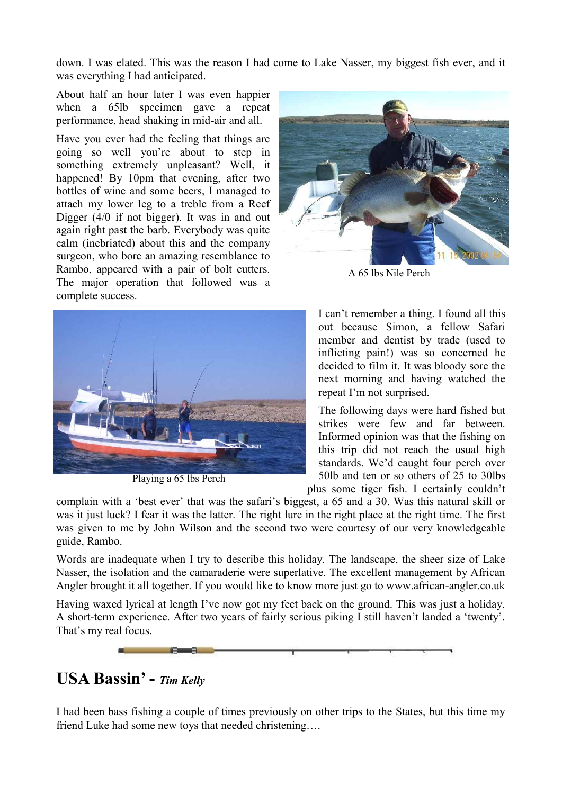down. I was elated. This was the reason I had come to Lake Nasser, my biggest fish ever, and it was everything I had anticipated.

About half an hour later I was even happier when a 65lb specimen gave a repeat performance, head shaking in mid-air and all.

Have you ever had the feeling that things are going so well you"re about to step in something extremely unpleasant? Well, it happened! By 10pm that evening, after two bottles of wine and some beers, I managed to attach my lower leg to a treble from a Reef Digger (4/0 if not bigger). It was in and out again right past the barb. Everybody was quite calm (inebriated) about this and the company surgeon, who bore an amazing resemblance to Rambo, appeared with a pair of bolt cutters. The major operation that followed was a complete success.



A 65 lbs Nile Perch



Playing a 65 lbs Perch

I can"t remember a thing. I found all this out because Simon, a fellow Safari member and dentist by trade (used to inflicting pain!) was so concerned he decided to film it. It was bloody sore the next morning and having watched the repeat I"m not surprised.

The following days were hard fished but strikes were few and far between. Informed opinion was that the fishing on this trip did not reach the usual high standards. We"d caught four perch over 50lb and ten or so others of 25 to 30lbs

plus some tiger fish. I certainly couldn"t

complain with a "best ever" that was the safari"s biggest, a 65 and a 30. Was this natural skill or was it just luck? I fear it was the latter. The right lure in the right place at the right time. The first was given to me by John Wilson and the second two were courtesy of our very knowledgeable guide, Rambo.

Words are inadequate when I try to describe this holiday. The landscape, the sheer size of Lake Nasser, the isolation and the camaraderie were superlative. The excellent management by African Angler brought it all together. If you would like to know more just go to www.african-angler.co.uk

Having waxed lyrical at length I've now got my feet back on the ground. This was just a holiday. A short-term experience. After two years of fairly serious piking I still haven"t landed a "twenty". That"s my real focus.



# **USA Bassin' -** *Tim Kelly*

I had been bass fishing a couple of times previously on other trips to the States, but this time my friend Luke had some new toys that needed christening….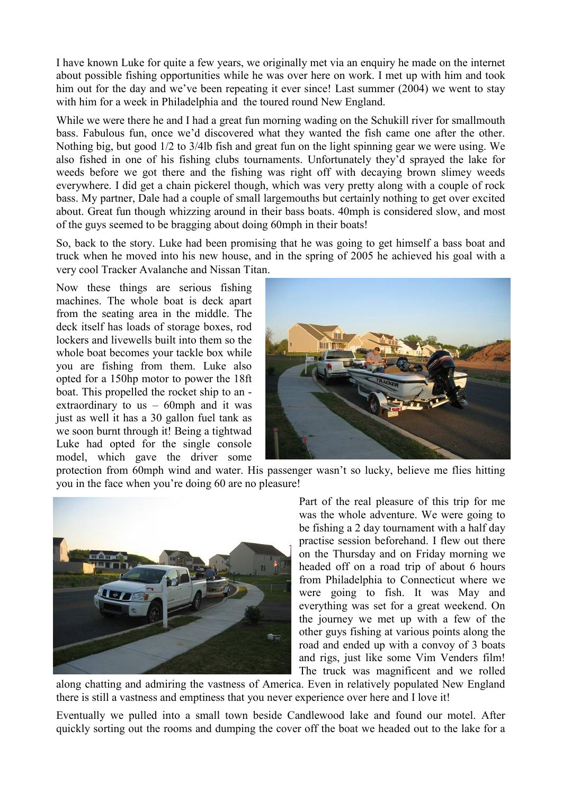I have known Luke for quite a few years, we originally met via an enquiry he made on the internet about possible fishing opportunities while he was over here on work. I met up with him and took him out for the day and we've been repeating it ever since! Last summer (2004) we went to stay with him for a week in Philadelphia and the toured round New England.

While we were there he and I had a great fun morning wading on the Schukill river for smallmouth bass. Fabulous fun, once we"d discovered what they wanted the fish came one after the other. Nothing big, but good 1/2 to 3/4lb fish and great fun on the light spinning gear we were using. We also fished in one of his fishing clubs tournaments. Unfortunately they"d sprayed the lake for weeds before we got there and the fishing was right off with decaying brown slimey weeds everywhere. I did get a chain pickerel though, which was very pretty along with a couple of rock bass. My partner, Dale had a couple of small largemouths but certainly nothing to get over excited about. Great fun though whizzing around in their bass boats. 40mph is considered slow, and most of the guys seemed to be bragging about doing 60mph in their boats!

So, back to the story. Luke had been promising that he was going to get himself a bass boat and truck when he moved into his new house, and in the spring of 2005 he achieved his goal with a very cool Tracker Avalanche and Nissan Titan.

Now these things are serious fishing machines. The whole boat is deck apart from the seating area in the middle. The deck itself has loads of storage boxes, rod lockers and livewells built into them so the whole boat becomes your tackle box while you are fishing from them. Luke also opted for a 150hp motor to power the 18ft boat. This propelled the rocket ship to an extraordinary to us  $-60$ mph and it was just as well it has a 30 gallon fuel tank as we soon burnt through it! Being a tightwad Luke had opted for the single console model, which gave the driver some



protection from 60mph wind and water. His passenger wasn"t so lucky, believe me flies hitting you in the face when you"re doing 60 are no pleasure!



Part of the real pleasure of this trip for me was the whole adventure. We were going to be fishing a 2 day tournament with a half day practise session beforehand. I flew out there on the Thursday and on Friday morning we headed off on a road trip of about 6 hours from Philadelphia to Connecticut where we were going to fish. It was May and everything was set for a great weekend. On the journey we met up with a few of the other guys fishing at various points along the road and ended up with a convoy of 3 boats and rigs, just like some Vim Venders film! The truck was magnificent and we rolled

along chatting and admiring the vastness of America. Even in relatively populated New England there is still a vastness and emptiness that you never experience over here and I love it!

Eventually we pulled into a small town beside Candlewood lake and found our motel. After quickly sorting out the rooms and dumping the cover off the boat we headed out to the lake for a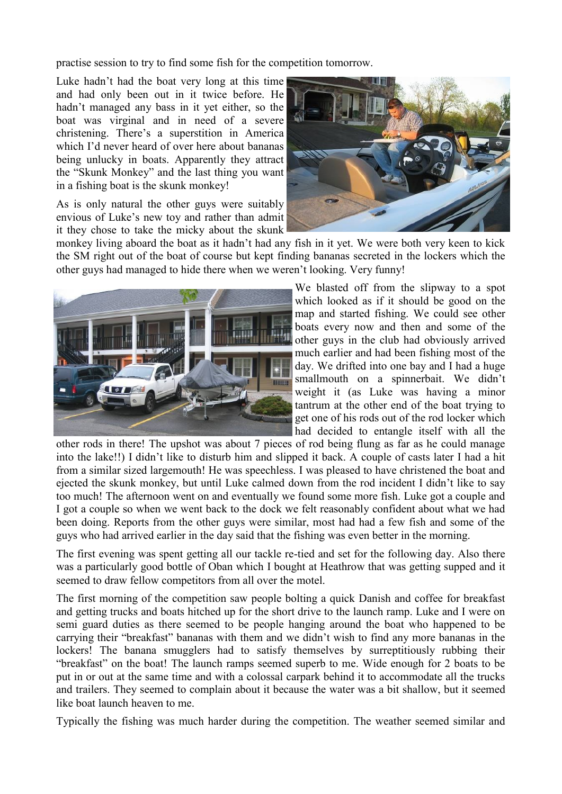practise session to try to find some fish for the competition tomorrow.

Luke hadn"t had the boat very long at this time and had only been out in it twice before. He hadn"t managed any bass in it yet either, so the boat was virginal and in need of a severe christening. There"s a superstition in America which I'd never heard of over here about bananas being unlucky in boats. Apparently they attract the "Skunk Monkey" and the last thing you want in a fishing boat is the skunk monkey!

As is only natural the other guys were suitably envious of Luke"s new toy and rather than admit it they chose to take the micky about the skunk



monkey living aboard the boat as it hadn't had any fish in it yet. We were both very keen to kick the SM right out of the boat of course but kept finding bananas secreted in the lockers which the other guys had managed to hide there when we weren"t looking. Very funny!



We blasted off from the slipway to a spot which looked as if it should be good on the map and started fishing. We could see other boats every now and then and some of the other guys in the club had obviously arrived much earlier and had been fishing most of the day. We drifted into one bay and I had a huge smallmouth on a spinnerbait. We didn't weight it (as Luke was having a minor tantrum at the other end of the boat trying to get one of his rods out of the rod locker which had decided to entangle itself with all the

other rods in there! The upshot was about 7 pieces of rod being flung as far as he could manage into the lake!!) I didn"t like to disturb him and slipped it back. A couple of casts later I had a hit from a similar sized largemouth! He was speechless. I was pleased to have christened the boat and ejected the skunk monkey, but until Luke calmed down from the rod incident I didn"t like to say too much! The afternoon went on and eventually we found some more fish. Luke got a couple and I got a couple so when we went back to the dock we felt reasonably confident about what we had been doing. Reports from the other guys were similar, most had had a few fish and some of the guys who had arrived earlier in the day said that the fishing was even better in the morning.

The first evening was spent getting all our tackle re-tied and set for the following day. Also there was a particularly good bottle of Oban which I bought at Heathrow that was getting supped and it seemed to draw fellow competitors from all over the motel.

The first morning of the competition saw people bolting a quick Danish and coffee for breakfast and getting trucks and boats hitched up for the short drive to the launch ramp. Luke and I were on semi guard duties as there seemed to be people hanging around the boat who happened to be carrying their "breakfast" bananas with them and we didn"t wish to find any more bananas in the lockers! The banana smugglers had to satisfy themselves by surreptitiously rubbing their "breakfast" on the boat! The launch ramps seemed superb to me. Wide enough for 2 boats to be put in or out at the same time and with a colossal carpark behind it to accommodate all the trucks and trailers. They seemed to complain about it because the water was a bit shallow, but it seemed like boat launch heaven to me.

Typically the fishing was much harder during the competition. The weather seemed similar and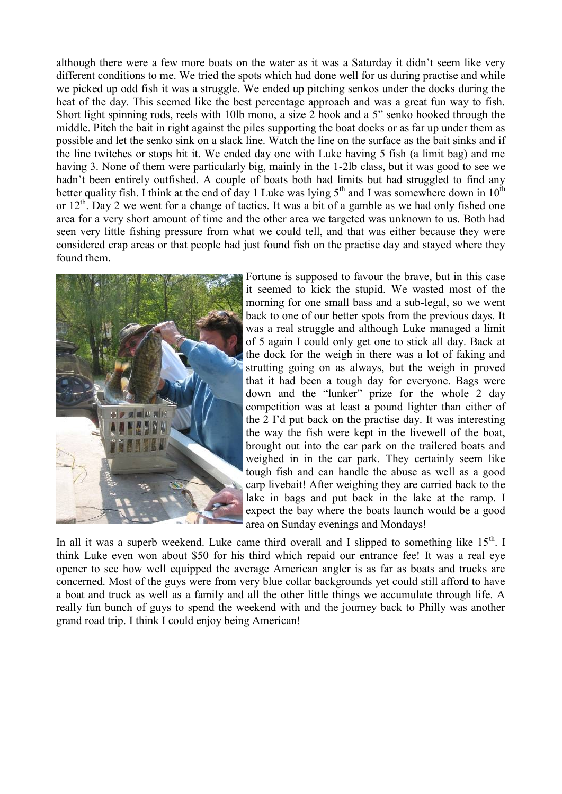although there were a few more boats on the water as it was a Saturday it didn"t seem like very different conditions to me. We tried the spots which had done well for us during practise and while we picked up odd fish it was a struggle. We ended up pitching senkos under the docks during the heat of the day. This seemed like the best percentage approach and was a great fun way to fish. Short light spinning rods, reels with 10lb mono, a size 2 hook and a 5" senko hooked through the middle. Pitch the bait in right against the piles supporting the boat docks or as far up under them as possible and let the senko sink on a slack line. Watch the line on the surface as the bait sinks and if the line twitches or stops hit it. We ended day one with Luke having 5 fish (a limit bag) and me having 3. None of them were particularly big, mainly in the 1-2lb class, but it was good to see we hadn't been entirely outfished. A couple of boats both had limits but had struggled to find any better quality fish. I think at the end of day 1 Luke was lying  $5<sup>th</sup>$  and I was somewhere down in  $10<sup>th</sup>$ or  $12^{th}$ . Day 2 we went for a change of tactics. It was a bit of a gamble as we had only fished one area for a very short amount of time and the other area we targeted was unknown to us. Both had seen very little fishing pressure from what we could tell, and that was either because they were considered crap areas or that people had just found fish on the practise day and stayed where they found them.



Fortune is supposed to favour the brave, but in this case it seemed to kick the stupid. We wasted most of the morning for one small bass and a sub-legal, so we went back to one of our better spots from the previous days. It was a real struggle and although Luke managed a limit of 5 again I could only get one to stick all day. Back at the dock for the weigh in there was a lot of faking and strutting going on as always, but the weigh in proved that it had been a tough day for everyone. Bags were down and the "lunker" prize for the whole 2 day competition was at least a pound lighter than either of the 2 I"d put back on the practise day. It was interesting the way the fish were kept in the livewell of the boat, brought out into the car park on the trailered boats and weighed in in the car park. They certainly seem like tough fish and can handle the abuse as well as a good carp livebait! After weighing they are carried back to the lake in bags and put back in the lake at the ramp. I expect the bay where the boats launch would be a good area on Sunday evenings and Mondays!

In all it was a superb weekend. Luke came third overall and I slipped to something like  $15<sup>th</sup>$ . I think Luke even won about \$50 for his third which repaid our entrance fee! It was a real eye opener to see how well equipped the average American angler is as far as boats and trucks are concerned. Most of the guys were from very blue collar backgrounds yet could still afford to have a boat and truck as well as a family and all the other little things we accumulate through life. A really fun bunch of guys to spend the weekend with and the journey back to Philly was another grand road trip. I think I could enjoy being American!